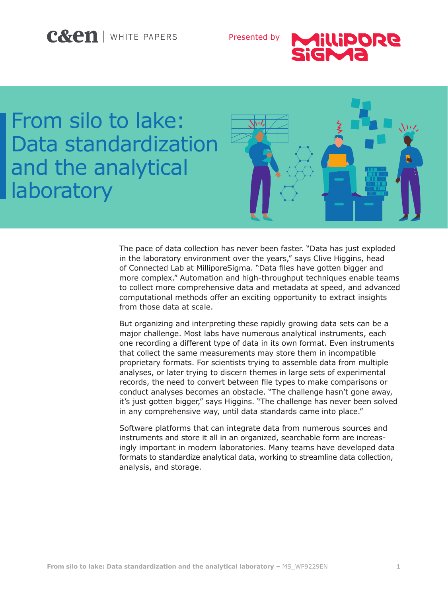# C&en | WHITE PAPERS

Presented by



# From silo to lake: Data standardization and the analytical **laboratory**



The pace of data collection has never been faster. "Data has just exploded in the laboratory environment over the years," says Clive Higgins, head of Connected Lab at MilliporeSigma. "Data files have gotten bigger and more complex." Automation and high-throughput techniques enable teams to collect more comprehensive data and metadata at speed, and advanced computational methods offer an exciting opportunity to extract insights from those data at scale.

But organizing and interpreting these rapidly growing data sets can be a major challenge. Most labs have numerous analytical instruments, each one recording a different type of data in its own format. Even instruments that collect the same measurements may store them in incompatible proprietary formats. For scientists trying to assemble data from multiple analyses, or later trying to discern themes in large sets of experimental records, the need to convert between file types to make comparisons or conduct analyses becomes an obstacle. "The challenge hasn't gone away, it's just gotten bigger," says Higgins. "The challenge has never been solved in any comprehensive way, until data standards came into place."

Software platforms that can integrate data from numerous sources and instruments and store it all in an organized, searchable form are increasingly important in modern laboratories. Many teams have developed data formats to standardize analytical data, working to streamline data collection, analysis, and storage.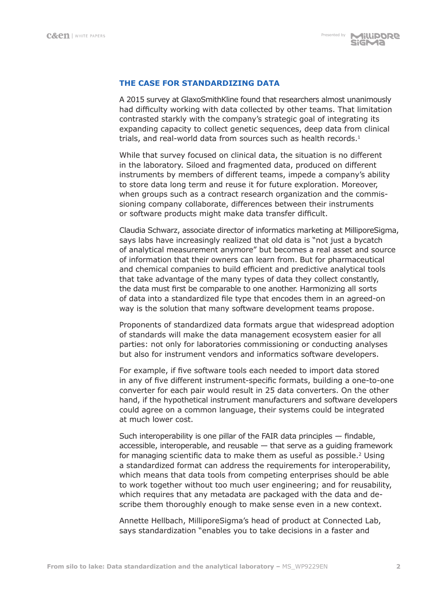# **THE CASE FOR STANDARDIZING DATA**

A 2015 survey at GlaxoSmithKline found that researchers almost unanimously had difficulty working with data collected by other teams. That limitation contrasted starkly with the company's strategic goal of integrating its expanding capacity to collect genetic sequences, deep data from clinical trials, and real-world data from sources such as health records. $<sup>1</sup>$ </sup>

While that survey focused on clinical data, the situation is no different in the laboratory. Siloed and fragmented data, produced on different instruments by members of different teams, impede a company's ability to store data long term and reuse it for future exploration. Moreover, when groups such as a contract research organization and the commissioning company collaborate, differences between their instruments or software products might make data transfer difficult.

Claudia Schwarz, associate director of informatics marketing at MilliporeSigma, says labs have increasingly realized that old data is "not just a bycatch of analytical measurement anymore" but becomes a real asset and source of information that their owners can learn from. But for pharmaceutical and chemical companies to build efficient and predictive analytical tools that take advantage of the many types of data they collect constantly, the data must first be comparable to one another. Harmonizing all sorts of data into a standardized file type that encodes them in an agreed-on way is the solution that many software development teams propose.

Proponents of standardized data formats argue that widespread adoption of standards will make the data management ecosystem easier for all parties: not only for laboratories commissioning or conducting analyses but also for instrument vendors and informatics software developers.

For example, if five software tools each needed to import data stored in any of five different instrument-specific formats, building a one-to-one converter for each pair would result in 25 data converters. On the other hand, if the hypothetical instrument manufacturers and software developers could agree on a common language, their systems could be integrated at much lower cost.

Such interoperability is one pillar of the FAIR data principles — findable, accessible, interoperable, and reusable — that serve as a guiding framework for managing scientific data to make them as useful as possible.<sup>2</sup> Using a standardized format can address the requirements for interoperability, which means that data tools from competing enterprises should be able to work together without too much user engineering; and for reusability, which requires that any metadata are packaged with the data and describe them thoroughly enough to make sense even in a new context.

Annette Hellbach, MilliporeSigma's head of product at Connected Lab, says standardization "enables you to take decisions in a faster and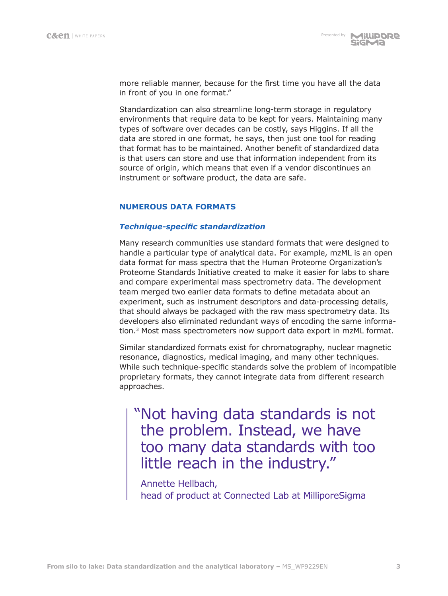more reliable manner, because for the first time you have all the data in front of you in one format."

Standardization can also streamline long-term storage in regulatory environments that require data to be kept for years. Maintaining many types of software over decades can be costly, says Higgins. If all the data are stored in one format, he says, then just one tool for reading that format has to be maintained. Another benefit of standardized data is that users can store and use that information independent from its source of origin, which means that even if a vendor discontinues an instrument or software product, the data are safe.

# **NUMEROUS DATA FORMATS**

# *Technique-specific standardization*

Many research communities use standard formats that were designed to handle a particular type of analytical data. For example, mzML is an open data format for mass spectra that the Human Proteome Organization's Proteome Standards Initiative created to make it easier for labs to share and compare experimental mass spectrometry data. The development team merged two earlier data formats to define metadata about an experiment, such as instrument descriptors and data-processing details, that should always be packaged with the raw mass spectrometry data. Its developers also eliminated redundant ways of encoding the same information.3 Most mass spectrometers now support data export in mzML format.

Similar standardized formats exist for chromatography, nuclear magnetic resonance, diagnostics, medical imaging, and many other techniques. While such technique-specific standards solve the problem of incompatible proprietary formats, they cannot integrate data from different research approaches.

"Not having data standards is not the problem. Instead, we have too many data standards with too little reach in the industry."

Annette Hellbach, head of product at Connected Lab at MilliporeSigma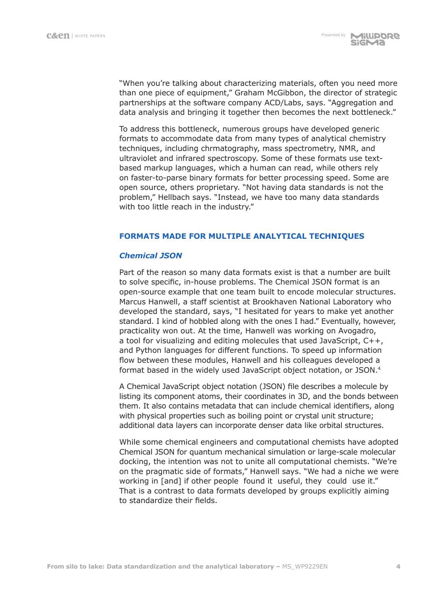"When you're talking about characterizing materials, often you need more than one piece of equipment," Graham McGibbon, the director of strategic partnerships at the software company ACD/Labs, says. "Aggregation and data analysis and bringing it together then becomes the next bottleneck."

To address this bottleneck, numerous groups have developed generic formats to accommodate data from many types of analytical chemistry techniques, including chrmatography, mass spectrometry, NMR, and ultraviolet and infrared spectroscopy. Some of these formats use textbased markup languages, which a human can read, while others rely on faster-to-parse binary formats for better processing speed. Some are open source, others proprietary. "Not having data standards is not the problem," Hellbach says. "Instead, we have too many data standards with too little reach in the industry."

## **FORMATS MADE FOR MULTIPLE ANALYTICAL TECHNIQUES**

## *Chemical JSON*

Part of the reason so many data formats exist is that a number are built to solve specific, in-house problems. The Chemical JSON format is an open-source example that one team built to encode molecular structures. Marcus Hanwell, a staff scientist at Brookhaven National Laboratory who developed the standard, says, "I hesitated for years to make yet another standard. I kind of hobbled along with the ones I had." Eventually, however, practicality won out. At the time, Hanwell was working on Avogadro, a tool for visualizing and editing molecules that used JavaScript, C++, and Python languages for different functions. To speed up information flow between these modules, Hanwell and his colleagues developed a format based in the widely used JavaScript object notation, or JSON.<sup>4</sup>

A Chemical JavaScript object notation (JSON) file describes a molecule by listing its component atoms, their coordinates in 3D, and the bonds between them. It also contains metadata that can include chemical identifiers, along with physical properties such as boiling point or crystal unit structure; additional data layers can incorporate denser data like orbital structures.

While some chemical engineers and computational chemists have adopted Chemical JSON for quantum mechanical simulation or large-scale molecular docking, the intention was not to unite all computational chemists. "We're on the pragmatic side of formats," Hanwell says. "We had a niche we were working in [and] if other people found it useful, they could use it." That is a contrast to data formats developed by groups explicitly aiming to standardize their fields.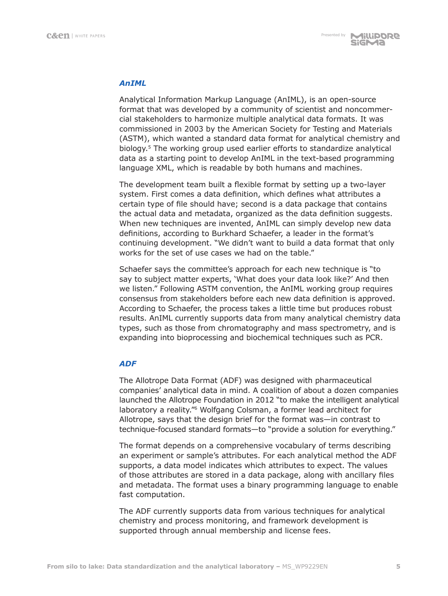# *AnIML*

Analytical Information Markup Language (AnIML), is an open-source format that was developed by a community of scientist and noncommercial stakeholders to harmonize multiple analytical data formats. It was commissioned in 2003 by the American Society for Testing and Materials (ASTM), which wanted a standard data format for analytical chemistry and biology.5 The working group used earlier efforts to standardize analytical data as a starting point to develop AnIML in the text-based programming language XML, which is readable by both humans and machines.

The development team built a flexible format by setting up a two-layer system. First comes a data definition, which defines what attributes a certain type of file should have; second is a data package that contains the actual data and metadata, organized as the data definition suggests. When new techniques are invented, AnIML can simply develop new data definitions, according to Burkhard Schaefer, a leader in the format's continuing development. "We didn't want to build a data format that only works for the set of use cases we had on the table."

Schaefer says the committee's approach for each new technique is "to say to subject matter experts, 'What does your data look like?' And then we listen." Following ASTM convention, the AnIML working group requires consensus from stakeholders before each new data definition is approved. According to Schaefer, the process takes a little time but produces robust results. AnIML currently supports data from many analytical chemistry data types, such as those from chromatography and mass spectrometry, and is expanding into bioprocessing and biochemical techniques such as PCR.

# *ADF*

The Allotrope Data Format (ADF) was designed with pharmaceutical companies' analytical data in mind. A coalition of about a dozen companies launched the Allotrope Foundation in 2012 "to make the intelligent analytical laboratory a reality."6 Wolfgang Colsman, a former lead architect for Allotrope, says that the design brief for the format was—in contrast to technique-focused standard formats—to "provide a solution for everything."

The format depends on a comprehensive vocabulary of terms describing an experiment or sample's attributes. For each analytical method the ADF supports, a data model indicates which attributes to expect. The values of those attributes are stored in a data package, along with ancillary files and metadata. The format uses a binary programming language to enable fast computation.

The ADF currently supports data from various techniques for analytical chemistry and process monitoring, and framework development is supported through annual membership and license fees.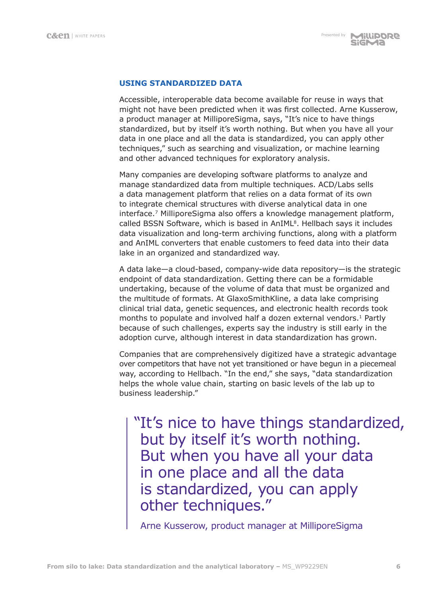# **USING STANDARDIZED DATA**

Accessible, interoperable data become available for reuse in ways that might not have been predicted when it was first collected. Arne Kusserow, a product manager at MilliporeSigma, says, "It's nice to have things standardized, but by itself it's worth nothing. But when you have all your data in one place and all the data is standardized, you can apply other techniques," such as searching and visualization, or machine learning and other advanced techniques for exploratory analysis.

Many companies are developing software platforms to analyze and manage standardized data from multiple techniques. ACD/Labs sells a data management platform that relies on a data format of its own to integrate chemical structures with diverse analytical data in one interface.7 MilliporeSigma also offers a knowledge management platform, called BSSN Software, which is based in AnIML<sup>8</sup>. Hellbach says it includes data visualization and long-term archiving functions, along with a platform and AnIML converters that enable customers to feed data into their data lake in an organized and standardized way.

A data lake—a cloud-based, company-wide data repository—is the strategic endpoint of data standardization. Getting there can be a formidable undertaking, because of the volume of data that must be organized and the multitude of formats. At GlaxoSmithKline, a data lake comprising clinical trial data, genetic sequences, and electronic health records took months to populate and involved half a dozen external vendors.<sup>1</sup> Partly because of such challenges, experts say the industry is still early in the adoption curve, although interest in data standardization has grown.

Companies that are comprehensively digitized have a strategic advantage over competitors that have not yet transitioned or have begun in a piecemeal way, according to Hellbach. "In the end," she says, "data standardization helps the whole value chain, starting on basic levels of the lab up to business leadership."

"It's nice to have things standardized, but by itself it's worth nothing. But when you have all your data in one place and all the data is standardized, you can apply other techniques."

Arne Kusserow, product manager at MilliporeSigma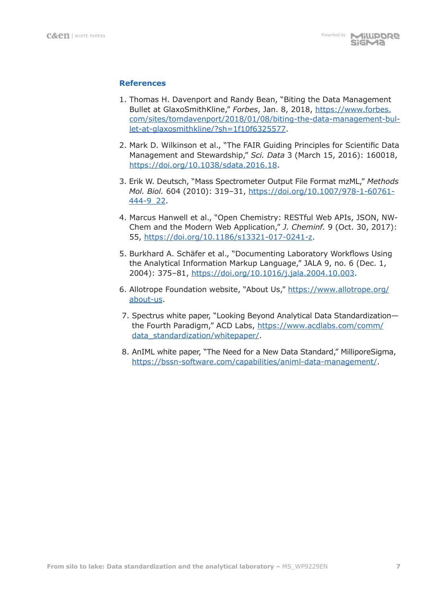# **References**

- 1. Thomas H. Davenport and Randy Bean, "Biting the Data Management Bullet at GlaxoSmithKline," *Forbes*, Jan. 8, 2018, https://www.forbes. com/sites/tomdavenport/2018/01/08/biting-the-data-management-bullet-at-glaxosmithkline/?sh=1f10f6325577.
- 2. Mark D. Wilkinson et al., "The FAIR Guiding Principles for Scientific Data Management and Stewardship," *Sci. Data* 3 (March 15, 2016): 160018, https://doi.org/10.1038/sdata.2016.18.
- 3. Erik W. Deutsch, "Mass Spectrometer Output File Format mzML," *Methods Mol. Biol.* 604 (2010): 319–31, https://doi.org/10.1007/978-1-60761- 444-9\_22.
- 4. Marcus Hanwell et al., "Open Chemistry: RESTful Web APIs, JSON, NW-Chem and the Modern Web Application," *J. Cheminf.* 9 (Oct. 30, 2017): 55, https://doi.org/10.1186/s13321-017-0241-z.
- 5. Burkhard A. Schäfer et al., "Documenting Laboratory Workflows Using the Analytical Information Markup Language," JALA 9, no. 6 (Dec. 1, 2004): 375–81, https://doi.org/10.1016/j.jala.2004.10.003.
- 6. Allotrope Foundation website, "About Us," https://www.allotrope.org/ about-us.
- 7. Spectrus white paper, "Looking Beyond Analytical Data Standardization the Fourth Paradigm," ACD Labs, https://www.acdlabs.com/comm/ data\_standardization/whitepaper/.
- 8. AnIML white paper, "The Need for a New Data Standard," MilliporeSigma, https://bssn-software.com/capabilities/animl-data-management/.